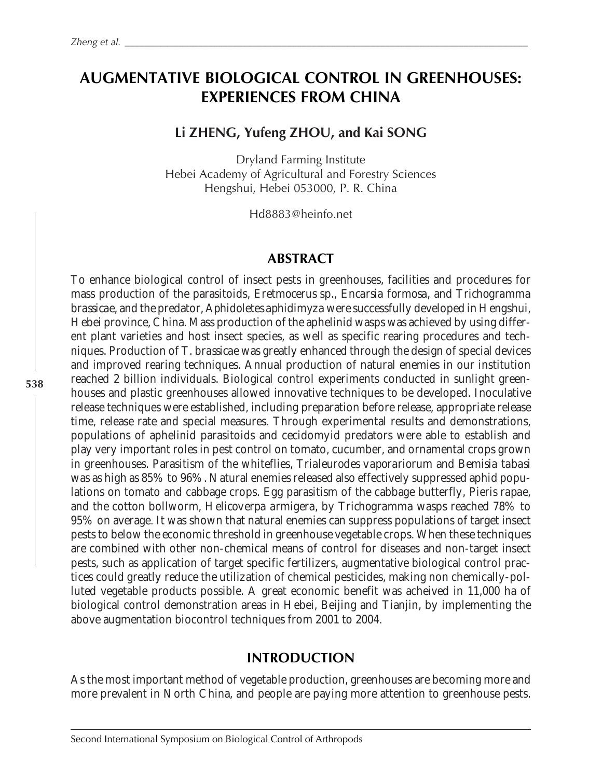# **AUGMENTATIVE BIOLOGICAL CONTROL IN GREENHOUSES: EXPERIENCES FROM CHINA**

# **Li ZHENG, Yufeng ZHOU, and Kai SONG**

Dryland Farming Institute Hebei Academy of Agricultural and Forestry Sciences Hengshui, Hebei 053000, P. R. China

Hd8883@heinfo.net

#### **ABSTRACT**

To enhance biological control of insect pests in greenhouses, facilities and procedures for mass production of the parasitoids, *Eretmocerus* sp., *Encarsia formosa*, and *Trichogramma brassicae*, and the predator, *Aphidoletes aphidimyza* were successfully developed in Hengshui, Hebei province, China. Mass production of the aphelinid wasps was achieved by using different plant varieties and host insect species, as well as specific rearing procedures and techniques. Production of *T. brassicae* was greatly enhanced through the design of special devices and improved rearing techniques. Annual production of natural enemies in our institution reached 2 billion individuals. Biological control experiments conducted in sunlight greenhouses and plastic greenhouses allowed innovative techniques to be developed. Inoculative release techniques were established, including preparation before release, appropriate release time, release rate and special measures. Through experimental results and demonstrations, populations of aphelinid parasitoids and cecidomyid predators were able to establish and play very important roles in pest control on tomato, cucumber, and ornamental crops grown in greenhouses. Parasitism of the whiteflies, *Trialeurodes vaporariorum* and *Bemisia tabasi* was as high as 85% to 96%. Natural enemies released also effectively suppressed aphid populations on tomato and cabbage crops. Egg parasitism of the cabbage butterfly, *Pieris rapae*, and the cotton bollworm, *Helicoverpa armigera*, by *Trichogramma* wasps reached 78% to 95% on average. It was shown that natural enemies can suppress populations of target insect pests to below the economic threshold in greenhouse vegetable crops. When these techniques are combined with other non-chemical means of control for diseases and non-target insect pests, such as application of target specific fertilizers, augmentative biological control practices could greatly reduce the utilization of chemical pesticides, making non chemically-polluted vegetable products possible. A great economic benefit was acheived in 11,000 ha of biological control demonstration areas in Hebei, Beijing and Tianjin, by implementing the above augmentation biocontrol techniques from 2001 to 2004.

### **INTRODUCTION**

As the most important method of vegetable production, greenhouses are becoming more and more prevalent in North China, and people are paying more attention to greenhouse pests.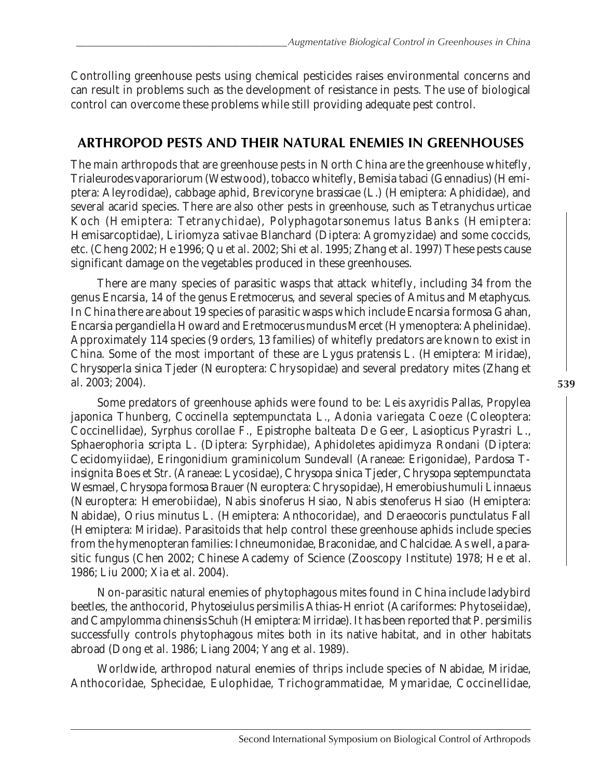Controlling greenhouse pests using chemical pesticides raises environmental concerns and can result in problems such as the development of resistance in pests. The use of biological control can overcome these problems while still providing adequate pest control.

# **ARTHROPOD PESTS AND THEIR NATURAL ENEMIES IN GREENHOUSES**

The main arthropods that are greenhouse pests in North China are the greenhouse whitefly, *Trialeurodes vaporariorum* (Westwood), tobacco whitefly, *Bemisia tabaci* (Gennadius) (Hemiptera: Aleyrodidae), cabbage aphid, *Brevicoryne brassicae* (L.) (Hemiptera: Aphididae), and several acarid species. There are also other pests in greenhouse, such as *Tetranychus urticae* Koch (Hemiptera: Tetranychidae), *Polyphagotarsonemus latus* Banks (Hemiptera: Hemisarcoptidae), *Liriomyza sativae* Blanchard (Diptera: Agromyzidae) and some coccids, etc. (Cheng 2002; He 1996; Qu *et al.* 2002; Shi *et al.* 1995; Zhang *et al.* 1997) These pests cause significant damage on the vegetables produced in these greenhouses.

There are many species of parasitic wasps that attack whitefly, including 34 from the genus *Encarsia*, 14 of the genus *Eretmocerus*, and several species of *Amitus* and *Metaphycus*. In China there are about 19 species of parasitic wasps which include *Encarsia formosa* Gahan, *Encarsia pergandiella* Howard and *Eretmocerus mundus* Mercet (Hymenoptera: Aphelinidae). Approximately 114 species (9 orders, 13 families) of whitefly predators are known to exist in China. Some of the most important of these are *Lygus pratensis* L. (Hemiptera: Miridae), *Chrysoperla sinica* Tjeder (Neuroptera: Chrysopidae) and several predatory mites (Zhang *et al.* 2003; 2004).

Some predators of greenhouse aphids were found to be: *Leis axyridis* Pallas, *Propylea japonica* Thunberg, *Coccinella septempunctata* L., *Adonia variegata* Coeze (Coleoptera: Coccinellidae), *Syrphus corollae* F., *Epistrophe balteata* De Geer, *Lasiopticus Pyrastri* L., *Sphaerophoria scripta* L. (Diptera: Syrphidae), *Aphidoletes apidimyza* Rondani (Diptera: Cecidomyiidae), *Eringonidium graminicolum* Sundevall (Araneae: Erigonidae), *Pardosa Tinsignita* Boes *et* Str. (Araneae: Lycosidae), *Chrysopa sinica* Tjeder, *Chrysopa septempunctata* Wesmael, *Chrysopa formosa* Brauer(Neuroptera: Chrysopidae), *Hemerobius humuli* Linnaeus (Neuroptera: Hemerobiidae), *Nabis sinoferus* Hsiao, *Nabis stenoferus* Hsiao (Hemiptera: Nabidae), *Orius minutus* L. (Hemiptera: Anthocoridae), and *Deraeocoris punctulatus* Fall (Hemiptera: Miridae). Parasitoids that help control these greenhouse aphids include species from the hymenopteran families: Ichneumonidae, Braconidae, and Chalcidae. As well, a parasitic fungus (Chen 2002; Chinese Academy of Science (Zooscopy Institute) 1978; He *et al.* 1986; Liu 2000; Xia *et al.* 2004).

Non-parasitic natural enemies of phytophagous mites found in China include ladybird beetles, the anthocorid, *Phytoseiulus persimilis* Athias-Henriot (Acariformes: Phytoseiidae), and *Campylomma chinensis* Schuh (Hemiptera: Mirridae). It has been reported that *P. persimilis* successfully controls phytophagous mites both in its native habitat, and in other habitats abroad (Dong *et al.* 1986; Liang 2004; Yang *et al.* 1989).

Worldwide, arthropod natural enemies of thrips include species of Nabidae, Miridae, Anthocoridae, Sphecidae, Eulophidae, Trichogrammatidae, Mymaridae, Coccinellidae,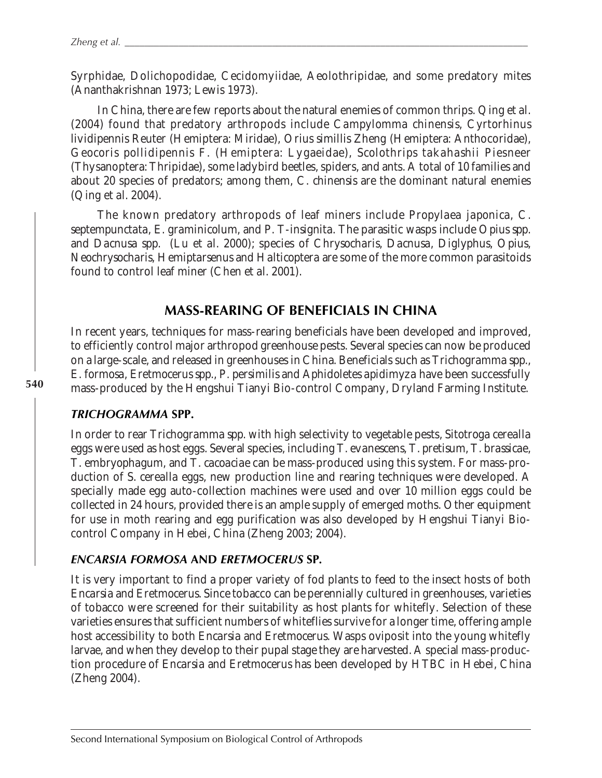Syrphidae, Dolichopodidae, Cecidomyiidae, Aeolothripidae, and some predatory mites (Ananthakrishnan 1973; Lewis 1973).

In China, there are few reports about the natural enemies of common thrips. Qing *et al*. (2004) found that predatory arthropods include *Campylomma chinensis*, *Cyrtorhinus lividipennis* Reuter (Hemiptera: Miridae), *Orius simillis* Zheng (Hemiptera: Anthocoridae), *Geocoris pollidipennis* F. (Hemiptera: Lygaeidae), *Scolothrips takahashii* Piesneer (Thysanoptera: Thripidae), some ladybird beetles, spiders, and ants. A total of 10 families and about 20 species of predators; among them, *C. chinensis* are the dominant natural enemies (Qing *et al.* 2004).

The known predatory arthropods of leaf miners include *Propylaea japonica*, *C. septempunctata*, *E. graminicolum*, and *P. T-insignita*. The parasitic wasps include *Opius spp.* and *Dacnusa spp.* (Lu *et al.* 2000); species of *Chrysocharis*, *Dacnusa*, *Diglyphus*, *Opius*, *Neochrysocharis*, *Hemiptarsenus* and *Halticoptera* are some of the more common parasitoids found to control leaf miner (Chen *et al.* 2001).

# **MASS-REARING OF BENEFICIALS IN CHINA**

In recent years, techniques for mass-rearing beneficials have been developed and improved, to efficiently control major arthropod greenhouse pests. Several species can now be produced on a large-scale, and released in greenhouses in China. Beneficials such as *Trichogramma spp.*, *E. formosa*, *Eretmocerus spp.*, *P. persimilis* and *Aphidoletes apidimyza* have been successfully mass-produced by the Hengshui Tianyi Bio-control Company, Dryland Farming Institute.

### *TRICHOGRAMMA* **SPP.**

In order to rear *Trichogramma spp.* with high selectivity to vegetable pests, *Sitotroga cerealla* eggs were used as host eggs. Several species, including *T. evanescens, T. pretisum, T. brassicae, T. embryophagum,* and *T. cacoaciae* can be mass-produced using this system. For mass-production of *S. cerealla* eggs, new production line and rearing techniques were developed. A specially made egg auto-collection machines were used and over 10 million eggs could be collected in 24 hours, provided there is an ample supply of emerged moths. Other equipment for use in moth rearing and egg purification was also developed by Hengshui Tianyi Biocontrol Company in Hebei, China (Zheng 2003; 2004).

### *ENCARSIA FORMOSA* **AND** *ERETMOCERUS* **SP***.*

It is very important to find a proper variety of fod plants to feed to the insect hosts of both *Encarsia* and *Eretmocerus*. Since tobacco can be perennially cultured in greenhouses, varieties of tobacco were screened for their suitability as host plants for whitefly. Selection of these varieties ensures that sufficient numbers of whiteflies survive for a longer time, offering ample host accessibility to both *Encarsia* and *Eretmocerus*. Wasps oviposit into the young whitefly larvae, and when they develop to their pupal stage they are harvested. A special mass-production procedure of *Encarsia* and *Eretmocerus* has been developed by HTBC in Hebei, China (Zheng 2004).

**540**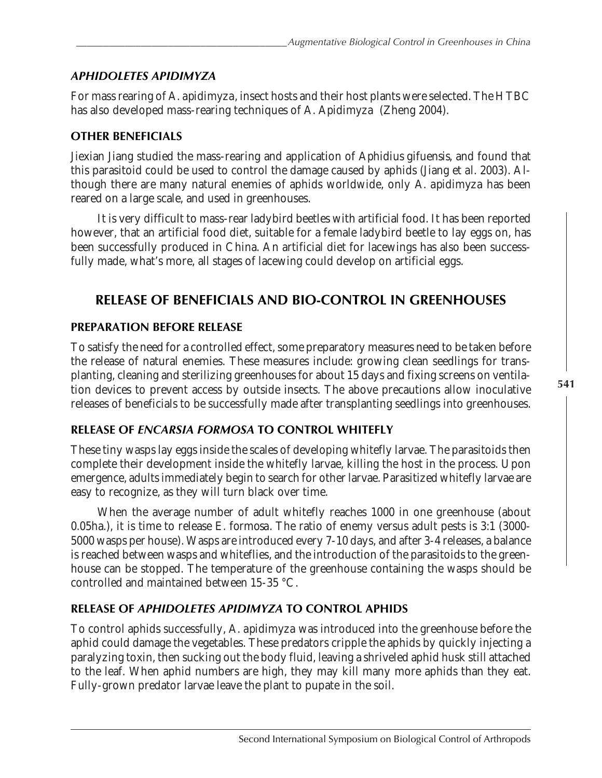## *APHIDOLETES APIDIMYZA*

For mass rearing of *A. apidimyza*, insect hosts and their host plants were selected. The HTBC has also developed mass-rearing techniques of *A. Apidimyza* (Zheng 2004).

#### **OTHER BENEFICIALS**

Jiexian Jiang studied the mass-rearing and application of *Aphidius gifuensis,* and found that this parasitoid could be used to control the damage caused by aphids (Jiang *et al.* 2003). Although there are many natural enemies of aphids worldwide, only *A. apidimyza* has been reared on a large scale, and used in greenhouses.

It is very difficult to mass-rear ladybird beetles with artificial food. It has been reported however, that an artificial food diet, suitable for a female ladybird beetle to lay eggs on, has been successfully produced in China. An artificial diet for lacewings has also been successfully made, what's more, all stages of lacewing could develop on artificial eggs.

# **RELEASE OF BENEFICIALS AND BIO-CONTROL IN GREENHOUSES**

#### **PREPARATION BEFORE RELEASE**

To satisfy the need for a controlled effect, some preparatory measures need to be taken before the release of natural enemies. These measures include: growing clean seedlings for transplanting, cleaning and sterilizing greenhouses for about 15 days and fixing screens on ventilation devices to prevent access by outside insects. The above precautions allow inoculative releases of beneficials to be successfully made after transplanting seedlings into greenhouses.

#### **RELEASE OF** *ENCARSIA FORMOSA* **TO CONTROL WHITEFLY**

These tiny wasps lay eggs inside the scales of developing whitefly larvae. The parasitoids then complete their development inside the whitefly larvae, killing the host in the process. Upon emergence, adults immediately begin to search for other larvae. Parasitized whitefly larvae are easy to recognize, as they will turn black over time.

When the average number of adult whitefly reaches 1000 in one greenhouse (about 0.05ha.), it is time to release *E. formosa*. The ratio of enemy versus adult pests is 3:1 (3000- 5000 wasps per house). Wasps are introduced every 7-10 days, and after 3-4 releases, a balance is reached between wasps and whiteflies, and the introduction of the parasitoids to the greenhouse can be stopped. The temperature of the greenhouse containing the wasps should be controlled and maintained between 15-35 °C.

### **RELEASE OF** *APHIDOLETES APIDIMYZA* **TO CONTROL APHIDS**

To control aphids successfully, *A. apidimyza* was introduced into the greenhouse before the aphid could damage the vegetables. These predators cripple the aphids by quickly injecting a paralyzing toxin, then sucking out the body fluid, leaving a shriveled aphid husk still attached to the leaf. When aphid numbers are high, they may kill many more aphids than they eat. Fully-grown predator larvae leave the plant to pupate in the soil.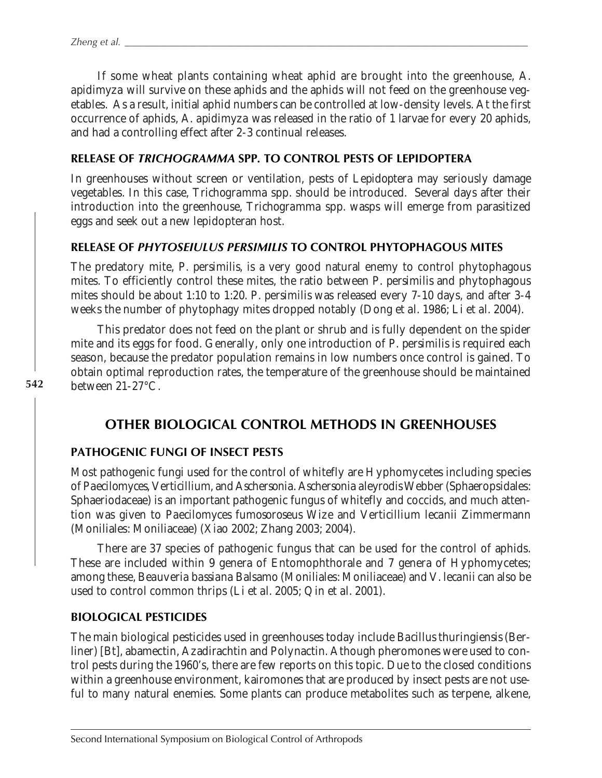If some wheat plants containing wheat aphid are brought into the greenhouse, *A. apidimyza* will survive on these aphids and the aphids will not feed on the greenhouse vegetables. As a result, initial aphid numbers can be controlled at low-density levels. At the first occurrence of aphids, *A. apidimyza* was released in the ratio of 1 larvae for every 20 aphids, and had a controlling effect after 2-3 continual releases.

#### **RELEASE OF** *TRICHOGRAMMA* **SPP***.* **TO CONTROL PESTS OF LEPIDOPTERA**

In greenhouses without screen or ventilation, pests of *Lepidoptera* may seriously damage vegetables. In this case, *Trichogramma* spp*.* should be introduced. Several days after their introduction into the greenhouse, *Trichogramma* spp*.* wasps will emerge from parasitized eggs and seek out a new lepidopteran host.

#### **RELEASE OF** *PHYTOSEIULUS PERSIMILIS* **TO CONTROL PHYTOPHAGOUS MITES**

The predatory mite, *P. persimilis*, is a very good natural enemy to control phytophagous mites. To efficiently control these mites, the ratio between *P. persimilis* and phytophagous mites should be about 1:10 to 1:20. *P. persimilis* was released every 7-10 days, and after 3-4 weeks the number of phytophagy mites dropped notably (Dong *et al.* 1986; Li *et al.* 2004).

This predator does not feed on the plant or shrub and is fully dependent on the spider mite and its eggs for food. Generally, only one introduction of *P. persimilis* is required each season, because the predator population remains in low numbers once control is gained. To obtain optimal reproduction rates, the temperature of the greenhouse should be maintained between 21-27°C.

# **OTHER BIOLOGICAL CONTROL METHODS IN GREENHOUSES**

#### **PATHOGENIC FUNGI OF INSECT PESTS**

Most pathogenic fungi used for the control of whitefly are Hyphomycetes including species of *Paecilomyces*, *Verticillium*, and *Aschersonia*. *Aschersonia aleyrodis* Webber (Sphaeropsidales: Sphaeriodaceae) is an important pathogenic fungus of whitefly and coccids, and much attention was given to *Paecilomyces fumosoroseus* Wize and *Verticillium lecanii* Zimmermann (Moniliales: Moniliaceae) (Xiao 2002; Zhang 2003; 2004).

There are 37 species of pathogenic fungus that can be used for the control of aphids. These are included within 9 genera of Entomophthorale and 7 genera of Hyphomycetes; among these, *Beauveria bassiana* Balsamo (Moniliales: Moniliaceae) and *V. lecanii* can also be used to control common thrips (Li *et al.* 2005; Qin *et al.* 2001).

#### **BIOLOGICAL PESTICIDES**

The main biological pesticides used in greenhouses today include *Bacillus thuringiensis* (Berliner) [*Bt*], abamectin, Azadirachtin and Polynactin. Athough pheromones were used to control pests during the 1960's, there are few reports on this topic. Due to the closed conditions within a greenhouse environment, kairomones that are produced by insect pests are not useful to many natural enemies. Some plants can produce metabolites such as terpene, alkene,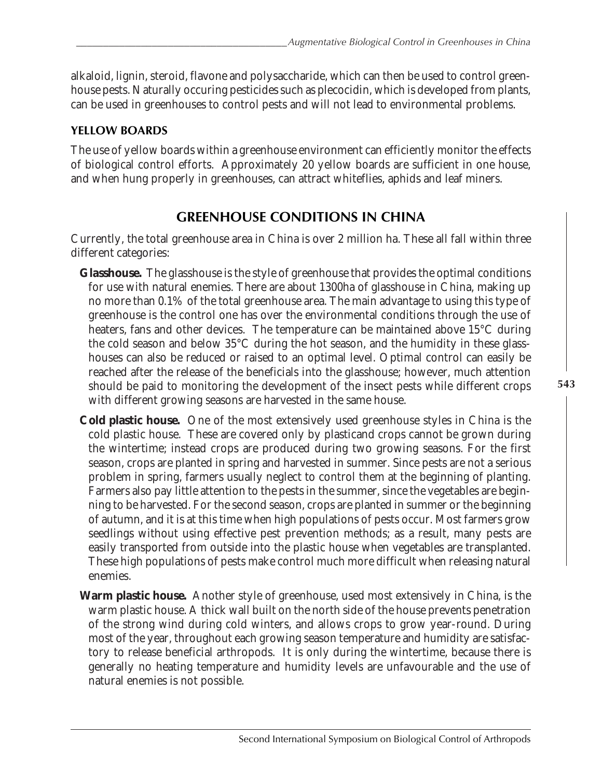alkaloid, lignin, steroid, flavone and polysaccharide, which can then be used to control greenhouse pests. Naturally occuring pesticides such as plecocidin, which is developed from plants, can be used in greenhouses to control pests and will not lead to environmental problems.

## **YELLOW BOARDS**

The use of yellow boards within a greenhouse environment can efficiently monitor the effects of biological control efforts. Approximately 20 yellow boards are sufficient in one house, and when hung properly in greenhouses, can attract whiteflies, aphids and leaf miners.

# **GREENHOUSE CONDITIONS IN CHINA**

Currently, the total greenhouse area in China is over 2 million ha. These all fall within three different categories:

- **Glasshouse.** The glasshouse is the style of greenhouse that provides the optimal conditions for use with natural enemies. There are about 1300ha of glasshouse in China, making up no more than 0.1% of the total greenhouse area. The main advantage to using this type of greenhouse is the control one has over the environmental conditions through the use of heaters, fans and other devices. The temperature can be maintained above 15°C during the cold season and below 35°C during the hot season, and the humidity in these glasshouses can also be reduced or raised to an optimal level. Optimal control can easily be reached after the release of the beneficials into the glasshouse; however, much attention should be paid to monitoring the development of the insect pests while different crops with different growing seasons are harvested in the same house.
- **Cold plastic house.** One of the most extensively used greenhouse styles in China is the cold plastic house. These are covered only by plasticand crops cannot be grown during the wintertime; instead crops are produced during two growing seasons. For the first season, crops are planted in spring and harvested in summer. Since pests are not a serious problem in spring, farmers usually neglect to control them at the beginning of planting. Farmers also pay little attention to the pests in the summer, since the vegetables are beginning to be harvested. For the second season, crops are planted in summer or the beginning of autumn, and it is at this time when high populations of pests occur. Most farmers grow seedlings without using effective pest prevention methods; as a result, many pests are easily transported from outside into the plastic house when vegetables are transplanted. These high populations of pests make control much more difficult when releasing natural enemies.
- **Warm plastic house.** Another style of greenhouse, used most extensively in China, is the warm plastic house. A thick wall built on the north side of the house prevents penetration of the strong wind during cold winters, and allows crops to grow year-round. During most of the year, throughout each growing season temperature and humidity are satisfactory to release beneficial arthropods. It is only during the wintertime, because there is generally no heating temperature and humidity levels are unfavourable and the use of natural enemies is not possible.

**543**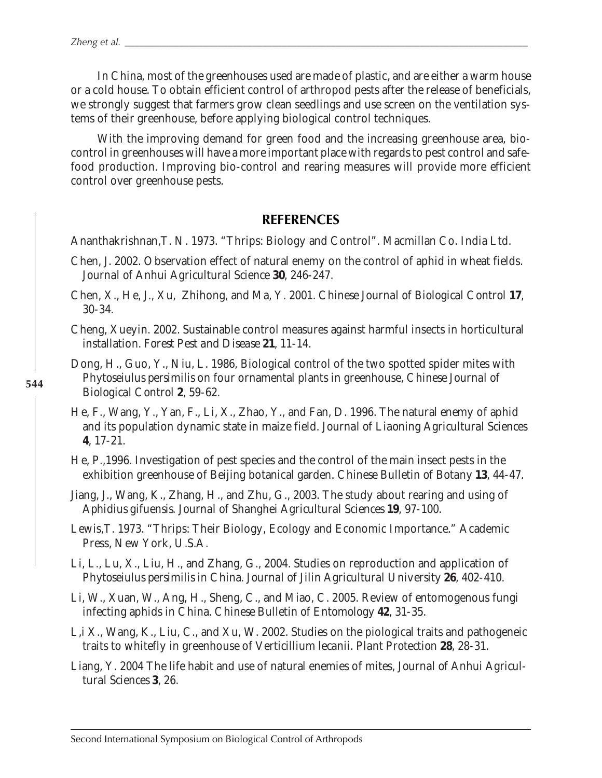In China, most of the greenhouses used are made of plastic, and are either a warm house or a cold house. To obtain efficient control of arthropod pests after the release of beneficials, we strongly suggest that farmers grow clean seedlings and use screen on the ventilation systems of their greenhouse, before applying biological control techniques.

With the improving demand for green food and the increasing greenhouse area, biocontrol in greenhouses will have a more important place with regards to pest control and safefood production. Improving bio-control and rearing measures will provide more efficient control over greenhouse pests.

#### **REFERENCES**

Ananthakrishnan,T. N. 1973. "Thrips: Biology and Control". Macmillan Co. India Ltd.

- Chen, J. 2002. Observation effect of natural enemy on the control of aphid in wheat fields. *Journal of Anhui Agricultural Science* **30**, 246-247.
- Chen, X., He, J., Xu, Zhihong, and Ma, Y. 2001. *Chinese Journal of Biological Control* **17**, 30-34.
- Cheng, Xueyin. 2002. Sustainable control measures against harmful insects in horticultural installation. *Forest Pest and Disease* **21**, 11-14.
- Dong, H., Guo, Y., Niu, L. 1986, Biological control of the two spotted spider mites with *Phytoseiulus persimilis* on four ornamental plants in greenhouse, *Chinese Journal of Biological Control* **2**, 59-62.
- He, F., Wang, Y., Yan, F., Li, X., Zhao, Y., and Fan, D. 1996. The natural enemy of aphid and its population dynamic state in maize field. *Journal of Liaoning Agricultural Sciences* **4**, 17-21.
- He, P.,1996. Investigation of pest species and the control of the main insect pests in the exhibition greenhouse of Beijing botanical garden. *Chinese Bulletin of Botany* **13**, 44-47.
- Jiang, J., Wang, K., Zhang, H., and Zhu, G., 2003. The study about rearing and using of *Aphidius gifuensis*. *Journal of Shanghei Agricultural Sciences* **19**, 97-100.
- Lewis,T. 1973. "Thrips: Their Biology, Ecology and Economic Importance." Academic Press, New York, U.S.A.
- Li, L., Lu, X., Liu, H., and Zhang, G., 2004. Studies on reproduction and application of *Phytoseiulus persimilis* in China. *Journal of Jilin Agricultural University* **26**, 402-410.
- Li, W., Xuan, W., Ang, H., Sheng, C., and Miao, C. 2005. Review of entomogenous fungi infecting aphids in China. *Chinese Bulletin of Entomology* **42**, 31-35.
- L,i X., Wang, K., Liu, C., and Xu, W. 2002. Studies on the piological traits and pathogeneic traits to whitefly in greenhouse of *Verticillium lecanii*. *Plant Protection* **28**, 28-31.
- Liang, Y. 2004 The life habit and use of natural enemies of mites, *Journal of Anhui Agricultural Sciences* **3**, 26.

Second International Symposium on Biological Control of Arthropods